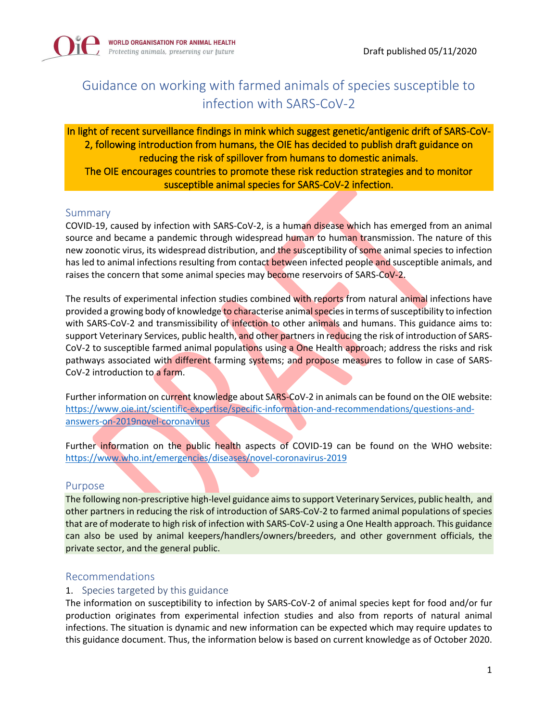

# Guidance on working with farmed animals of species susceptible to infection with SARS-CoV-2

In light of recent surveillance findings in mink which suggest genetic/antigenic drift of SARS-CoV-2, following introduction from humans, the OIE has decided to publish draft guidance on reducing the risk of spillover from humans to domestic animals. The OIE encourages countries to promote these risk reduction strategies and to monitor susceptible animal species for SARS-CoV-2 infection.

## Summary

COVID-19, caused by infection with SARS-CoV-2, is a human disease which has emerged from an animal source and became a pandemic through widespread human to human transmission. The nature of this new zoonotic virus, its widespread distribution, and the susceptibility of some animal species to infection has led to animal infections resulting from contact between infected people and susceptible animals, and raises the concern that some animal species may become reservoirs of SARS-CoV-2.

The results of experimental infection studies combined with reports from natural animal infections have provided a growing body of knowledge to characterise animal species in terms of susceptibility to infection with SARS-CoV-2 and transmissibility of infection to other animals and humans. This guidance aims to: support Veterinary Services, public health, and other partners in reducing the risk of introduction of SARS-CoV-2 to susceptible farmed animal populations using a One Health approach; address the risks and risk pathways associated with different farming systems; and propose measures to follow in case of SARS-CoV-2 introduction to a farm.

Further information on current knowledge about SARS-CoV-2 in animals can be found on the OIE website: [https://www.oie.int/scientific-expertise/specific-information-and-recommendations/questions-and](https://www.oie.int/scientific-expertise/specific-information-and-recommendations/questions-and-answers-on-2019novel-coronavirus)[answers-on-2019novel-coronavirus](https://www.oie.int/scientific-expertise/specific-information-and-recommendations/questions-and-answers-on-2019novel-coronavirus)

Further information on the public health aspects of COVID-19 can be found on the WHO website: <https://www.who.int/emergencies/diseases/novel-coronavirus-2019>

## Purpose

The following non-prescriptive high-level guidance aims to support Veterinary Services, public health, and other partners in reducing the risk of introduction of SARS-CoV-2 to farmed animal populations of species that are of moderate to high risk of infection with SARS-CoV-2 using a One Health approach. This guidance can also be used by animal keepers/handlers/owners/breeders, and other government officials, the private sector, and the general public.

#### Recommendations

## 1. Species targeted by this guidance

The information on susceptibility to infection by SARS-CoV-2 of animal species kept for food and/or fur production originates from experimental infection studies and also from reports of natural animal infections. The situation is dynamic and new information can be expected which may require updates to this guidance document. Thus, the information below is based on current knowledge as of October 2020.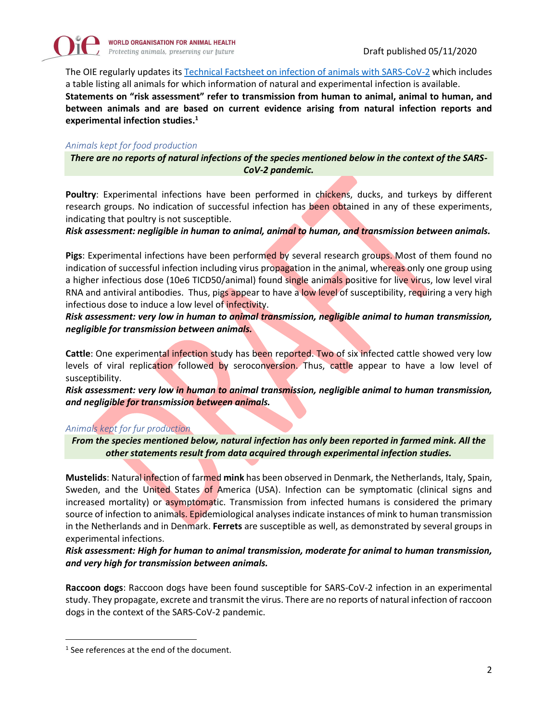

The OIE regularly updates its [Technical Factsheet on infection of animals with SARS-CoV-2](https://www.oie.int/en/scientific-expertise/specific-information-and-recommendations/questions-and-answers-on-2019novel-coronavirus/events-in-animals/) which includes a table listing all animals for which information of natural and experimental infection is available.

**Statements on "risk assessment" refer to transmission from human to animal, animal to human, and between animals and are based on current evidence arising from natural infection reports and experimental infection studies. 1**

#### *Animals kept for food production*

*There are no reports of natural infections of the species mentioned below in the context of the SARS-CoV-2 pandemic.* 

**Poultry**: Experimental infections have been performed in chickens, ducks, and turkeys by different research groups. No indication of successful infection has been obtained in any of these experiments, indicating that poultry is not susceptible.

*Risk assessment: negligible in human to animal, animal to human, and transmission between animals.*

**Pigs**: Experimental infections have been performed by several research groups. Most of them found no indication of successful infection including virus propagation in the animal, whereas only one group using a higher infectious dose (10e6 TICD50/animal) found single animals positive for live virus, low level viral RNA and antiviral antibodies. Thus, pigs appear to have a low level of susceptibility, requiring a very high infectious dose to induce a low level of infectivity.

*Risk assessment: very low in human to animal transmission, negligible animal to human transmission, negligible for transmission between animals.*

**Cattle**: One experimental infection study has been reported. Two of six infected cattle showed very low levels of viral replication followed by seroconversion. Thus, cattle appear to have a low level of susceptibility.

*Risk assessment: very low in human to animal transmission, negligible animal to human transmission, and negligible for transmission between animals.*

#### *Animals kept for fur production*

*From the species mentioned below, natural infection has only been reported in farmed mink. All the other statements result from data acquired through experimental infection studies.*

**Mustelids**: Natural infection of farmed **mink** has been observed in Denmark, the Netherlands, Italy, Spain, Sweden, and the United States of America (USA). Infection can be symptomatic (clinical signs and increased mortality) or asymptomatic. Transmission from infected humans is considered the primary source of infection to animals. Epidemiological analyses indicate instances of mink to human transmission in the Netherlands and in Denmark. **Ferrets** are susceptible as well, as demonstrated by several groups in experimental infections.

*Risk assessment: High for human to animal transmission, moderate for animal to human transmission, and very high for transmission between animals.*

**Raccoon dogs**: Raccoon dogs have been found susceptible for SARS-CoV-2 infection in an experimental study. They propagate, excrete and transmit the virus. There are no reports of natural infection of raccoon dogs in the context of the SARS-CoV-2 pandemic.

<sup>&</sup>lt;sup>1</sup> See references at the end of the document.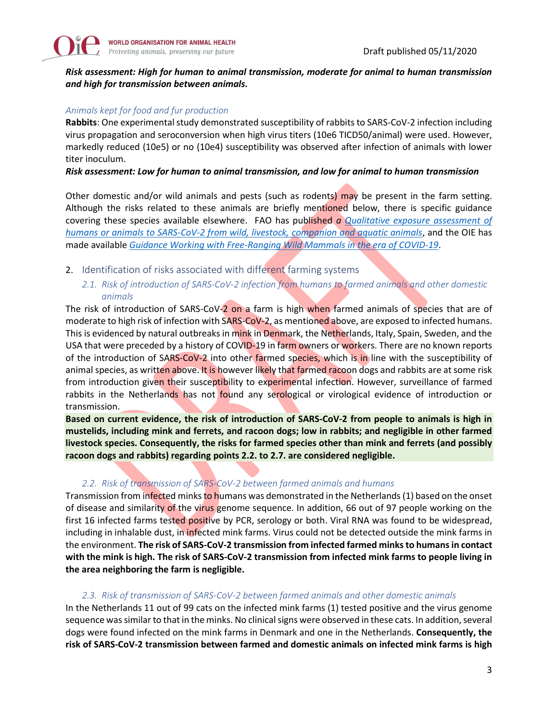#### *Risk assessment: High for human to animal transmission, moderate for animal to human transmission and high for transmission between animals.*

#### *Animals kept for food and fur production*

**Rabbits**: One experimental study demonstrated susceptibility of rabbits to SARS-CoV-2 infection including virus propagation and seroconversion when high virus titers (10e6 TICD50/animal) were used. However, markedly reduced (10e5) or no (10e4) susceptibility was observed after infection of animals with lower titer inoculum.

#### *Risk assessment: Low for human to animal transmission, and low for animal to human transmission*

Other domestic and/or wild animals and pests (such as rodents) may be present in the farm setting. Although the risks related to these animals are briefly mentioned below, there is specific guidance covering these species available elsewhere. FAO has published *a [Qualitative exposure assessment of](https://m365.eu.vadesecure.com/safeproxy/v3?f=7QiaZ0ocPNl3bxbbt_FoH0BzYNI348tBnsKjrTR4Hzk&i=aNsmVWznyGaVTrk4xbI2ycgsAZ4K5QjMOwZiFvgOrAc5Q7EGx6XkVoJg1JtZl14jLlv9mtxl_XArXlf4WHi1GQ&k=hCvY&r=d5dI71HHbtBOX265Ba5XvGILlKAL50edcaRDXSqwbxL78qLQuiGq8cSXdg_XwDj-&u=http%3A%2F%2Fwww.fao.org%2F3%2Fca9959en%2FCA9959EN.pdf)  [humans or animals to SARS-CoV-2 from wild, livestock, companion and aquatic animals](https://m365.eu.vadesecure.com/safeproxy/v3?f=7QiaZ0ocPNl3bxbbt_FoH0BzYNI348tBnsKjrTR4Hzk&i=aNsmVWznyGaVTrk4xbI2ycgsAZ4K5QjMOwZiFvgOrAc5Q7EGx6XkVoJg1JtZl14jLlv9mtxl_XArXlf4WHi1GQ&k=hCvY&r=d5dI71HHbtBOX265Ba5XvGILlKAL50edcaRDXSqwbxL78qLQuiGq8cSXdg_XwDj-&u=http%3A%2F%2Fwww.fao.org%2F3%2Fca9959en%2FCA9959EN.pdf)*, and the OIE has made available *[Guidance Working with Free-Ranging Wild Mammals](https://www.oie.int/fileadmin/Home/eng/Our_scientific_expertise/docs/pdf/COV-19/A_WHSG_and_OIE_COVID-19_Guidelines.pdf) in the era of COVID-19*.

- 2. Identification of risks associated with different farming systems
	- *2.1. Risk of introduction of SARS-CoV-2 infection from humans to farmed animals and other domestic animals*

The risk of introduction of SARS-CoV-2 on a farm is high when farmed animals of species that are of moderate to high risk of infection with SARS-CoV-2, as mentioned above, are exposed to infected humans. This is evidenced by natural outbreaks in mink in Denmark, the Netherlands, Italy, Spain, Sweden, and the USA that were preceded by a history of COVID-19 in farm owners or workers. There are no known reports of the introduction of SARS-CoV-2 into other farmed species, which is in line with the susceptibility of animal species, as written above. It is however likely that farmed racoon dogs and rabbits are at some risk from introduction given their susceptibility to experimental infection. However, surveillance of farmed rabbits in the Netherlands has not found any serological or virological evidence of introduction or transmission.

**Based on current evidence, the risk of introduction of SARS-CoV-2 from people to animals is high in mustelids, including mink and ferrets, and racoon dogs; low in rabbits; and negligible in other farmed livestock species. Consequently, the risks for farmed species other than mink and ferrets (and possibly racoon dogs and rabbits) regarding points 2.2. to 2.7. are considered negligible.**

#### *2.2. Risk of transmission of SARS-CoV-2 between farmed animals and humans*

Transmission from infected minks to humans was demonstrated in the Netherlands (1) based on the onset of disease and similarity of the virus genome sequence. In addition, 66 out of 97 people working on the first 16 infected farms tested positive by PCR, serology or both. Viral RNA was found to be widespread, including in inhalable dust, in infected mink farms. Virus could not be detected outside the mink farms in the environment. **The risk of SARS-CoV-2 transmission from infected farmed minks to humans in contact with the mink is high. The risk of SARS-CoV-2 transmission from infected mink farms to people living in the area neighboring the farm is negligible.**

#### *2.3. Risk of transmission of SARS-CoV-2 between farmed animals and other domestic animals*

In the Netherlands 11 out of 99 cats on the infected mink farms (1) tested positive and the virus genome sequence was similar to that in the minks. No clinical signs were observed in these cats. In addition, several dogs were found infected on the mink farms in Denmark and one in the Netherlands. **Consequently, the risk of SARS-CoV-2 transmission between farmed and domestic animals on infected mink farms is high**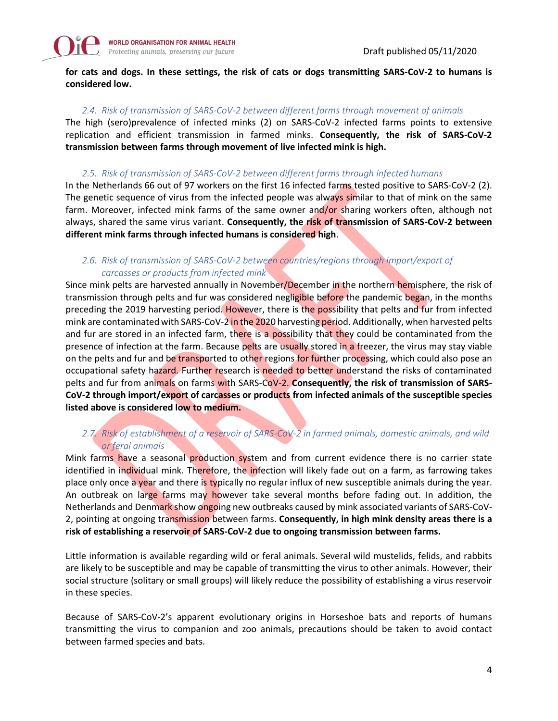

**for cats and dogs. In these settings, the risk of cats or dogs transmitting SARS-CoV-2 to humans is considered low.**

#### *2.4. Risk of transmission of SARS-CoV-2 between different farms through movement of animals*

The high (sero)prevalence of infected minks (2) on SARS-CoV-2 infected farms points to extensive replication and efficient transmission in farmed minks. **Consequently, the risk of SARS-CoV-2 transmission between farms through movement of live infected mink is high.**

#### *2.5. Risk of transmission of SARS-CoV-2 between different farms through infected humans*

In the Netherlands 66 out of 97 workers on the first 16 infected farms tested positive to SARS-CoV-2 (2). The genetic sequence of virus from the infected people was always similar to that of mink on the same farm. Moreover, infected mink farms of the same owner and/or sharing workers often, although not always, shared the same virus variant. **Consequently, the risk of transmission of SARS-CoV-2 between different mink farms through infected humans is considered high**.

## *2.6. Risk of transmission of SARS-CoV-2 between countries/regions through import/export of carcasses or products from infected mink*

Since mink pelts are harvested annually in November/December in the northern hemisphere, the risk of transmission through pelts and fur was considered negligible before the pandemic began, in the months preceding the 2019 harvesting period. However, there is the possibility that pelts and fur from infected mink are contaminated with SARS-CoV-2 in the 2020 harvesting period. Additionally, when harvested pelts and fur are stored in an infected farm, there is a possibility that they could be contaminated from the presence of infection at the farm. Because pelts are usually stored in a freezer, the virus may stay viable on the pelts and fur and be transported to other regions for further processing, which could also pose an occupational safety hazard. Further research is needed to better understand the risks of contaminated pelts and fur from animals on farms with SARS-CoV-2. **Consequently, the risk of transmission of SARS-CoV-2 through import/export of carcasses or products from infected animals of the susceptible species listed above is considered low to medium.**

## *2.7. Risk of establishment of a reservoir of SARS-CoV-2 in farmed animals, domestic animals, and wild or feral animals*

Mink farms have a seasonal production system and from current evidence there is no carrier state identified in individual mink. Therefore, the infection will likely fade out on a farm, as farrowing takes place only once a year and there is typically no regular influx of new susceptible animals during the year. An outbreak on large farms may however take several months before fading out. In addition, the Netherlands and Denmark show ongoing new outbreaks caused by mink associated variants of SARS-CoV-2, pointing at ongoing transmission between farms. **Consequently, in high mink density areas there is a risk of establishing a reservoir of SARS-CoV-2 due to ongoing transmission between farms.**

Little information is available regarding wild or feral animals. Several wild mustelids, felids, and rabbits are likely to be susceptible and may be capable of transmitting the virus to other animals. However, their social structure (solitary or small groups) will likely reduce the possibility of establishing a virus reservoir in these species.

Because of SARS‐CoV‐2's apparent evolutionary origins in Horseshoe bats and reports of humans transmitting the virus to companion and zoo animals, precautions should be taken to avoid contact between farmed species and bats.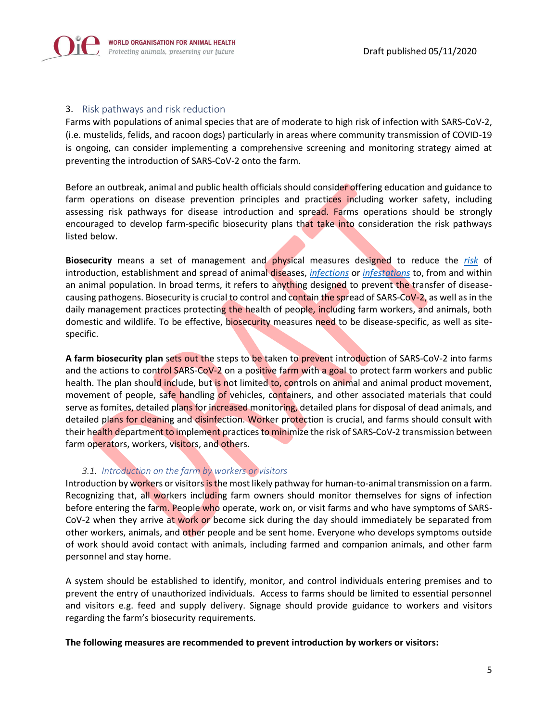

#### 3. Risk pathways and risk reduction

Farms with populations of animal species that are of moderate to high risk of infection with SARS-CoV-2, (i.e. mustelids, felids, and racoon dogs) particularly in areas where community transmission of COVID-19 is ongoing, can consider implementing a comprehensive screening and monitoring strategy aimed at preventing the introduction of SARS-CoV-2 onto the farm.

Before an outbreak, animal and public health officials should consider offering education and guidance to farm operations on disease prevention principles and practices including worker safety, including assessing risk pathways for disease introduction and spread. Farms operations should be strongly encouraged to develop farm-specific biosecurity plans that take into consideration the risk pathways listed below.

**Biosecurity** means a set of management and physical measures designed to reduce the *[risk](https://www.oie.int/index.php?id=169&L=0&htmfile=glossaire.htm#terme_risque)* of introduction, establishment and spread of animal diseases, *[infections](https://www.oie.int/index.php?id=169&L=0&htmfile=glossaire.htm#terme_infection)* or *[infestations](https://www.oie.int/index.php?id=169&L=0&htmfile=glossaire.htm#terme_infestation)* to, from and within an animal population. In broad terms, it refers to anything designed to prevent the transfer of diseasecausing pathogens. Biosecurity is crucial to control and contain the spread of SARS-CoV-2, as well as in the daily management practices protecting the health of people, including farm workers, and animals, both domestic and wildlife. To be effective, biosecurity measures need to be disease-specific, as well as sitespecific.

**A farm biosecurity plan** sets out the steps to be taken to prevent introduction of SARS-CoV-2 into farms and the actions to control SARS-CoV-2 on a positive farm with a goal to protect farm workers and public health. The plan should include, but is not limited to, controls on animal and animal product movement, movement of people, safe handling of vehicles, containers, and other associated materials that could serve as fomites, detailed plans for increased monitoring, detailed plans for disposal of dead animals, and detailed plans for cleaning and disinfection. Worker protection is crucial, and farms should consult with their health department to implement practices to minimize the risk of SARS-CoV-2 transmission between farm operators, workers, visitors, and others.

#### *3.1. Introduction on the farm by workers or visitors*

Introduction by workers or visitors is the most likely pathway for human-to-animal transmission on a farm. Recognizing that, all workers including farm owners should monitor themselves for signs of infection before entering the farm. People who operate, work on, or visit farms and who have symptoms of SARS-CoV-2 when they arrive at work or become sick during the day should immediately be separated from other workers, animals, and other people and be sent home. Everyone who develops symptoms outside of work should avoid contact with animals, including farmed and companion animals, and other farm personnel and stay home.

A system should be established to identify, monitor, and control individuals entering premises and to prevent the entry of unauthorized individuals. Access to farms should be limited to essential personnel and visitors e.g. feed and supply delivery. Signage should provide guidance to workers and visitors regarding the farm's biosecurity requirements.

**The following measures are recommended to prevent introduction by workers or visitors:**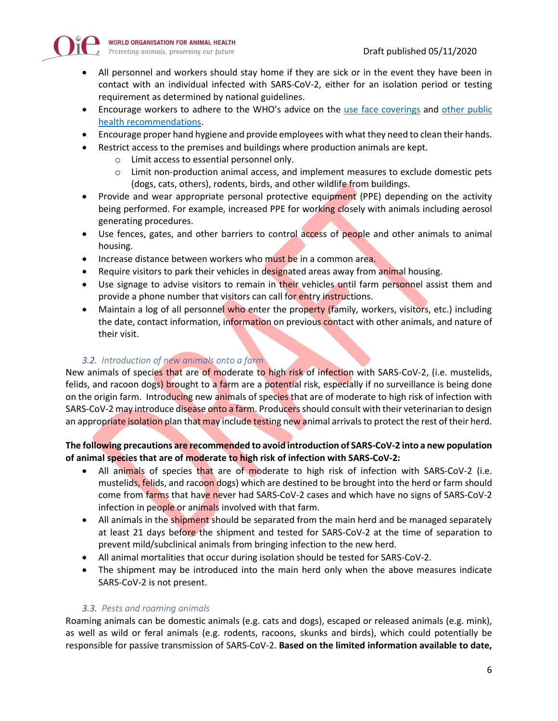

- All personnel and workers should stay home if they are sick or in the event they have been in contact with an individual infected with SARS-CoV-2, either for an isolation period or testing requirement as determined by national guidelines.
- Encourage workers to adhere to the WHO's advice on the [use face coverings](https://www.who.int/emergencies/diseases/novel-coronavirus-2019/advice-for-public/when-and-how-to-use-masks) and other public [health recommendations.](https://www.who.int/emergencies/diseases/novel-coronavirus-2019/advice-for-public/when-and-how-to-use-masks)
- Encourage proper hand hygiene and provide employees with what they need to clean their hands.
	- Restrict access to the premises and buildings where production animals are kept.
		- o Limit access to essential personnel only.
		- o Limit non-production animal access, and implement measures to exclude domestic pets (dogs, cats, others), rodents, birds, and other wildlife from buildings.
- Provide and wear appropriate personal protective equipment (PPE) depending on the activity being performed. For example, increased PPE for working closely with animals including aerosol generating procedures.
- Use fences, gates, and other barriers to control access of people and other animals to animal housing.
- Increase distance between workers who must be in a common area.
- Require visitors to park their vehicles in designated areas away from animal housing.
- Use signage to advise visitors to remain in their vehicles until farm personnel assist them and provide a phone number that visitors can call for entry instructions.
- Maintain a log of all personnel who enter the property (family, workers, visitors, etc.) including the date, contact information, information on previous contact with other animals, and nature of their visit.

#### *3.2. Introduction of new animals onto a farm*

New animals of species that are of moderate to high risk of infection with SARS-CoV-2, (i.e. mustelids, felids, and racoon dogs) brought to a farm are a potential risk, especially if no surveillance is being done on the origin farm. Introducing new animals of species that are of moderate to high risk of infection with SARS-CoV-2 may introduce disease onto a farm. Producers should consult with their veterinarian to design an appropriate isolation plan that may include testing new animal arrivals to protect the rest of their herd.

#### **The following precautions are recommended to avoid introduction of SARS-CoV-2 into a new population of animal species that are of moderate to high risk of infection with SARS-CoV-2:**

- All animals of species that are of moderate to high risk of infection with SARS-CoV-2 (i.e. mustelids, felids, and racoon dogs) which are destined to be brought into the herd or farm should come from farms that have never had SARS-CoV-2 cases and which have no signs of SARS-CoV-2 infection in people or animals involved with that farm.
- All animals in the shipment should be separated from the main herd and be managed separately at least 21 days before the shipment and tested for SARS-CoV-2 at the time of separation to prevent mild/subclinical animals from bringing infection to the new herd.
- All animal mortalities that occur during isolation should be tested for SARS-CoV-2.
- The shipment may be introduced into the main herd only when the above measures indicate SARS-CoV-2 is not present.

#### *3.3. Pests and roaming animals*

Roaming animals can be domestic animals (e.g. cats and dogs), escaped or released animals (e.g. mink), as well as wild or feral animals (e.g. rodents, racoons, skunks and birds), which could potentially be responsible for passive transmission of SARS-CoV-2. **Based on the limited information available to date,**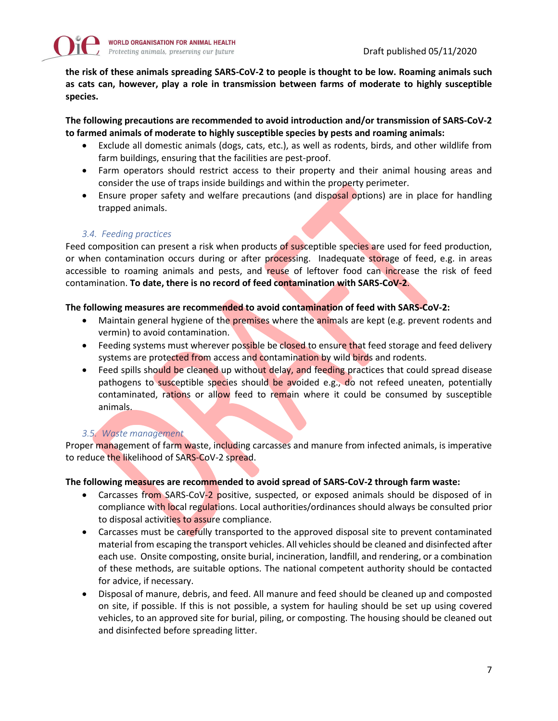

**the risk of these animals spreading SARS-CoV-2 to people is thought to be low. Roaming animals such as cats can, however, play a role in transmission between farms of moderate to highly susceptible species.**

**The following precautions are recommended to avoid introduction and/or transmission of SARS-CoV-2 to farmed animals of moderate to highly susceptible species by pests and roaming animals:**

- Exclude all domestic animals (dogs, cats, etc.), as well as rodents, birds, and other wildlife from farm buildings, ensuring that the facilities are pest-proof.
- Farm operators should restrict access to their property and their animal housing areas and consider the use of traps inside buildings and within the property perimeter.
- Ensure proper safety and welfare precautions (and disposal options) are in place for handling trapped animals.

## *3.4. Feeding practices*

Feed composition can present a risk when products of susceptible species are used for feed production, or when contamination occurs during or after processing. Inadequate storage of feed, e.g. in areas accessible to roaming animals and pests, and reuse of leftover food can increase the risk of feed contamination. **To date, there is no record of feed contamination with SARS-CoV-2**.

#### **The following measures are recommended to avoid contamination of feed with SARS-CoV-2:**

- Maintain general hygiene of the premises where the animals are kept (e.g. prevent rodents and vermin) to avoid contamination.
- Feeding systems must wherever possible be closed to ensure that feed storage and feed delivery systems are protected from access and contamination by wild birds and rodents.
- Feed spills should be cleaned up without delay, and feeding practices that could spread disease pathogens to susceptible species should be avoided e.g., do not refeed uneaten, potentially contaminated, rations or allow feed to remain where it could be consumed by susceptible animals.

## *3.5. Waste management*

Proper management of farm waste, including carcasses and manure from infected animals, is imperative to reduce the likelihood of SARS-CoV-2 spread.

#### **The following measures are recommended to avoid spread of SARS-CoV-2 through farm waste:**

- Carcasses from SARS-CoV-2 positive, suspected, or exposed animals should be disposed of in compliance with local regulations. Local authorities/ordinances should always be consulted prior to disposal activities to assure compliance.
- Carcasses must be carefully transported to the approved disposal site to prevent contaminated material from escaping the transport vehicles. All vehicles should be cleaned and disinfected after each use. Onsite composting, onsite burial, incineration, landfill, and rendering, or a combination of these methods, are suitable options. The national competent authority should be contacted for advice, if necessary.
- Disposal of manure, debris, and feed. All manure and feed should be cleaned up and composted on site, if possible. If this is not possible, a system for hauling should be set up using covered vehicles, to an approved site for burial, piling, or composting. The housing should be cleaned out and disinfected before spreading litter.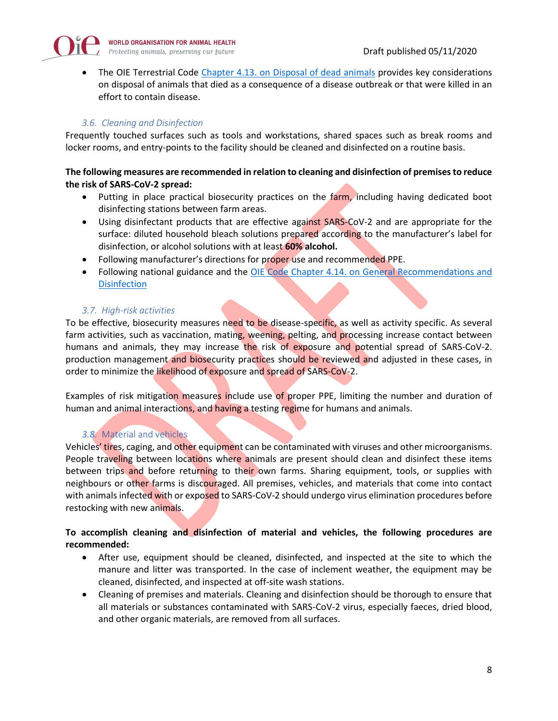

• The OIE Terrestrial Code Chapter 4.13. [on Disposal of dead animals](https://www.oie.int/index.php?id=169&L=0&htmfile=chapitre_disposal.htm) provides key considerations on disposal of animals that died as a consequence of a disease outbreak or that were killed in an effort to contain disease.

## *3.6. Cleaning and Disinfection*

Frequently touched surfaces such as tools and workstations, shared spaces such as break rooms and locker rooms, and entry-points to the facility should be cleaned and disinfected on a routine basis.

#### **The following measures are recommended in relation to cleaning and disinfection of premises to reduce the risk of SARS-CoV-2 spread:**

- Putting in place practical biosecurity practices on the farm, including having dedicated boot disinfecting stations between farm areas.
- Using disinfectant products that are effective against SARS-CoV-2 and are appropriate for the surface: diluted household bleach solutions prepared according to the manufacturer's label for disinfection, or alcohol solutions with at least **60% alcohol.**
- Following manufacturer's directions for proper use and recommended PPE.
- Following national guidance and the OIE Code Chapter 4.14. on General Recommendations and **[Disinfection](https://www.oie.int/index.php?id=169&L=0&htmfile=chapitre_disinfect_disinsect.htm)**

#### *3.7. High-risk activities*

To be effective, biosecurity measures need to be disease-specific, as well as activity specific. As several farm activities, such as vaccination, mating, weening, pelting, and processing increase contact between humans and animals, they may increase the risk of exposure and potential spread of SARS-CoV-2. production management and biosecurity practices should be reviewed and adjusted in these cases, in order to minimize the likelihood of exposure and spread of SARS-CoV-2.

Examples of risk mitigation measures include use of proper PPE, limiting the number and duration of human and animal interactions, and having a testing regime for humans and animals.

#### *3.8.* Material and vehicles

Vehicles' tires, caging, and other equipment can be contaminated with viruses and other microorganisms. People traveling between locations where animals are present should clean and disinfect these items between trips and before returning to their own farms. Sharing equipment, tools, or supplies with neighbours or other farms is discouraged. All premises, vehicles, and materials that come into contact with animals infected with or exposed to SARS-CoV-2 should undergo virus elimination procedures before restocking with new animals.

## **To accomplish cleaning and disinfection of material and vehicles, the following procedures are recommended:**

- After use, equipment should be cleaned, disinfected, and inspected at the site to which the manure and litter was transported. In the case of inclement weather, the equipment may be cleaned, disinfected, and inspected at off-site wash stations.
- Cleaning of premises and materials. Cleaning and disinfection should be thorough to ensure that all materials or substances contaminated with SARS-CoV-2 virus, especially faeces, dried blood, and other organic materials, are removed from all surfaces.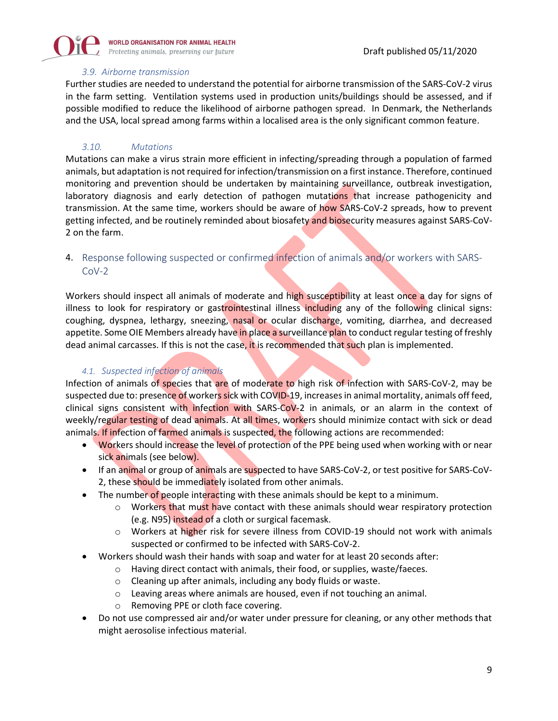

#### *3.9. Airborne transmission*

Further studies are needed to understand the potential for airborne transmission of the SARS-CoV-2 virus in the farm setting. Ventilation systems used in production units/buildings should be assessed, and if possible modified to reduce the likelihood of airborne pathogen spread. In Denmark, the Netherlands and the USA, local spread among farms within a localised area is the only significant common feature.

#### *3.10. Mutations*

Mutations can make a virus strain more efficient in infecting/spreading through a population of farmed animals, but adaptation is not required for infection/transmission on a first instance. Therefore, continued monitoring and prevention should be undertaken by maintaining surveillance, outbreak investigation, laboratory diagnosis and early detection of pathogen mutations that increase pathogenicity and transmission. At the same time, workers should be aware of how SARS-CoV-2 spreads, how to prevent getting infected, and be routinely reminded about biosafety and biosecurity measures against SARS-CoV-2 on the farm.

## 4. Response following suspected or confirmed infection of animals and/or workers with SARS- $Cov-2$

Workers should inspect all animals of moderate and high susceptibility at least once a day for signs of illness to look for respiratory or gastrointestinal illness including any of the following clinical signs: coughing, dyspnea, lethargy, sneezing, nasal or ocular discharge, vomiting, diarrhea, and decreased appetite. Some OIE Members already have in place a surveillance plan to conduct regular testing of freshly dead animal carcasses. If this is not the case, it is recommended that such plan is implemented.

#### *4.1. Suspected infection of animals*

Infection of animals of species that are of moderate to high risk of infection with SARS-CoV-2, may be suspected due to: presence of workers sick with COVID-19, increases in animal mortality, animals off feed, clinical signs consistent with infection with SARS- $CoV-2$  in animals, or an alarm in the context of weekly/regular testing of dead animals. At all times, workers should minimize contact with sick or dead animals. If infection of farmed animals is suspected, the following actions are recommended:

- Workers should increase the level of protection of the PPE being used when working with or near sick animals (see below).
- If an animal or group of animals are suspected to have SARS-CoV-2, or test positive for SARS-CoV-2, these should be immediately isolated from other animals.
- The number of people interacting with these animals should be kept to a minimum.
	- $\circ$  Workers that must have contact with these animals should wear respiratory protection (e.g. N95) instead of a cloth or surgical facemask.
	- o Workers at higher risk for severe illness from COVID-19 should not work with animals suspected or confirmed to be infected with SARS-CoV-2.
- Workers should wash their hands with soap and water for at least 20 seconds after:
	- o Having direct contact with animals, their food, or supplies, waste/faeces.
	- o Cleaning up after animals, including any body fluids or waste.
	- o Leaving areas where animals are housed, even if not touching an animal.
	- o Removing PPE or cloth face covering.
- Do not use compressed air and/or water under pressure for cleaning, or any other methods that might aerosolise infectious material.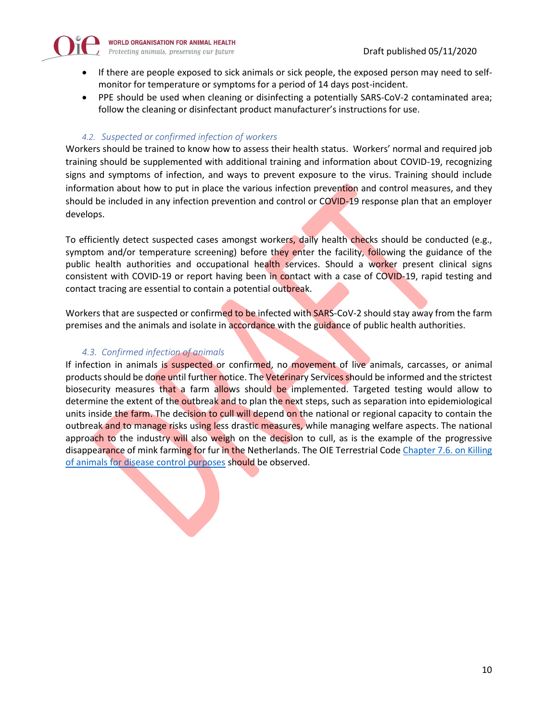

- If there are people exposed to sick animals or sick people, the exposed person may need to selfmonitor for temperature or symptoms for a period of 14 days post-incident.
- PPE should be used when cleaning or disinfecting a potentially SARS-CoV-2 contaminated area; follow the cleaning or disinfectant product manufacturer's instructions for use.

#### *4.2. Suspected or confirmed infection of workers*

Workers should be trained to know how to assess their health status. Workers' normal and required job training should be supplemented with additional training and information about COVID-19, recognizing signs and symptoms of infection, and ways to prevent exposure to the virus. Training should include information about how to put in place the various infection prevention and control measures, and they should be included in any infection prevention and control or COVID-19 response plan that an employer develops.

To efficiently detect suspected cases amongst workers, daily health checks should be conducted (e.g., symptom and/or temperature screening) before they enter the facility, following the guidance of the public health authorities and occupational health services. Should a worker present clinical signs consistent with COVID-19 or report having been in contact with a case of COVID-19, rapid testing and contact tracing are essential to contain a potential outbreak.

Workers that are suspected or confirmed to be infected with SARS-CoV-2 should stay away from the farm premises and the animals and isolate in accordance with the guidance of public health authorities.

#### *4.3. Confirmed infection of animals*

If infection in animals is suspected or confirmed, no movement of live animals, carcasses, or animal products should be done until further notice. The Veterinary Services should be informed and the strictest biosecurity measures that a farm allows should be implemented. Targeted testing would allow to determine the extent of the outbreak and to plan the next steps, such as separation into epidemiological units inside the farm. The decision to cull will depend on the national or regional capacity to contain the outbreak and to manage risks using less drastic measures, while managing welfare aspects. The national approach to the industry will also weigh on the decision to cull, as is the example of the progressive disappearance of mink farming for fur in the Netherlands. The OIE Terrestrial Code Chapter 7.6. on Killing [of animals for disease](https://www.oie.int/index.php?id=169&L=0&htmfile=chapitre_aw_killing.htm) control purposes should be observed.